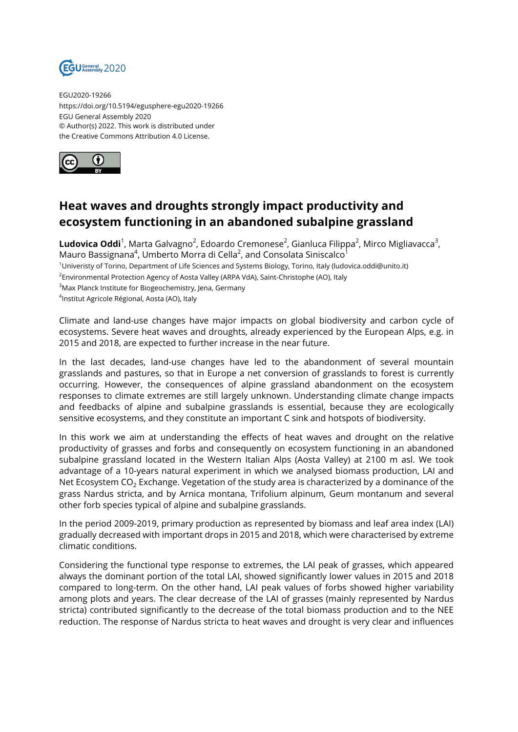

EGU2020-19266 https://doi.org/10.5194/egusphere-egu2020-19266 EGU General Assembly 2020 © Author(s) 2022. This work is distributed under the Creative Commons Attribution 4.0 License.



## **Heat waves and droughts strongly impact productivity and ecosystem functioning in an abandoned subalpine grassland**

**Ludovica Oddi**<sup>1</sup>, Marta Galvagno<sup>2</sup>, Edoardo Cremonese<sup>2</sup>, Gianluca Filippa<sup>2</sup>, Mirco Migliavacca<sup>3</sup>, Mauro Bassignana $^4$ , Umberto Morra di Cella $^2$ , and Consolata Siniscalco $^1$ <sup>1</sup>Univeristy of Torino, Department of Life Sciences and Systems Biology, Torino, Italy (ludovica.oddi@unito.it)  $^2$ Environmental Protection Agency of Aosta Valley (ARPA VdA), Saint-Christophe (AO), Italy

<sup>3</sup>Max Planck Institute for Biogeochemistry, Jena, Germany

4 Institut Agricole Régional, Aosta (AO), Italy

Climate and land-use changes have major impacts on global biodiversity and carbon cycle of ecosystems. Severe heat waves and droughts, already experienced by the European Alps, e.g. in 2015 and 2018, are expected to further increase in the near future.

In the last decades, land-use changes have led to the abandonment of several mountain grasslands and pastures, so that in Europe a net conversion of grasslands to forest is currently occurring. However, the consequences of alpine grassland abandonment on the ecosystem responses to climate extremes are still largely unknown. Understanding climate change impacts and feedbacks of alpine and subalpine grasslands is essential, because they are ecologically sensitive ecosystems, and they constitute an important C sink and hotspots of biodiversity.

In this work we aim at understanding the effects of heat waves and drought on the relative productivity of grasses and forbs and consequently on ecosystem functioning in an abandoned subalpine grassland located in the Western Italian Alps (Aosta Valley) at 2100 m asl. We took advantage of a 10-years natural experiment in which we analysed biomass production, LAI and Net Ecosystem  $CO<sub>2</sub>$  Exchange. Vegetation of the study area is characterized by a dominance of the grass Nardus stricta, and by Arnica montana, Trifolium alpinum, Geum montanum and several other forb species typical of alpine and subalpine grasslands.

In the period 2009-2019, primary production as represented by biomass and leaf area index (LAI) gradually decreased with important drops in 2015 and 2018, which were characterised by extreme climatic conditions.

Considering the functional type response to extremes, the LAI peak of grasses, which appeared always the dominant portion of the total LAI, showed significantly lower values in 2015 and 2018 compared to long-term. On the other hand, LAI peak values of forbs showed higher variability among plots and years. The clear decrease of the LAI of grasses (mainly represented by Nardus stricta) contributed significantly to the decrease of the total biomass production and to the NEE reduction. The response of Nardus stricta to heat waves and drought is very clear and influences